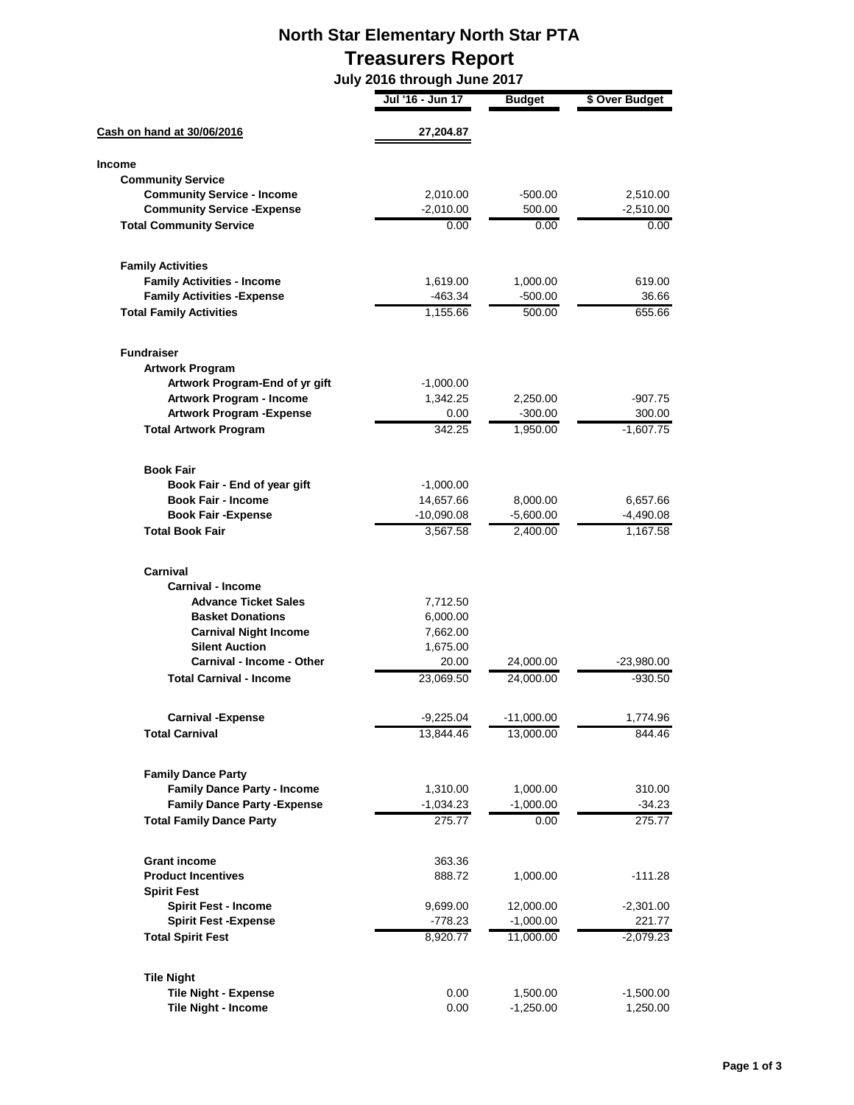## **North Star Elementary North Star PTA Treasurers Report**

 **July 2016 through June 2017**

|                                     | Jul '16 - Jun 17 | Budget       | \$ Over Budget |
|-------------------------------------|------------------|--------------|----------------|
| Cash on hand at 30/06/2016          | 27,204.87        |              |                |
| <b>Income</b>                       |                  |              |                |
| <b>Community Service</b>            |                  |              |                |
| <b>Community Service - Income</b>   | 2,010.00         | $-500.00$    | 2,510.00       |
| <b>Community Service - Expense</b>  | $-2,010.00$      | 500.00       | $-2,510.00$    |
| <b>Total Community Service</b>      | 0.00             | 0.00         | 0.00           |
| <b>Family Activities</b>            |                  |              |                |
| <b>Family Activities - Income</b>   | 1,619.00         | 1,000.00     | 619.00         |
| <b>Family Activities - Expense</b>  | -463.34          | -500.00      | 36.66          |
| <b>Total Family Activities</b>      | 1,155.66         | 500.00       | 655.66         |
| <b>Fundraiser</b>                   |                  |              |                |
| <b>Artwork Program</b>              |                  |              |                |
| Artwork Program-End of yr gift      | $-1,000.00$      |              |                |
| <b>Artwork Program - Income</b>     | 1,342.25         | 2,250.00     | $-907.75$      |
| <b>Artwork Program - Expense</b>    | 0.00             | -300.00      | 300.00         |
| <b>Total Artwork Program</b>        | 342.25           | 1,950.00     | $-1,607.75$    |
| <b>Book Fair</b>                    |                  |              |                |
| Book Fair - End of year gift        | $-1,000.00$      |              |                |
| <b>Book Fair - Income</b>           | 14,657.66        | 8,000.00     | 6,657.66       |
| <b>Book Fair -Expense</b>           | $-10,090.08$     | $-5,600.00$  | $-4,490.08$    |
| <b>Total Book Fair</b>              | 3,567.58         | 2,400.00     | 1,167.58       |
| Carnival                            |                  |              |                |
| <b>Carnival - Income</b>            |                  |              |                |
| <b>Advance Ticket Sales</b>         | 7,712.50         |              |                |
| <b>Basket Donations</b>             | 6,000.00         |              |                |
| <b>Carnival Night Income</b>        | 7,662.00         |              |                |
| <b>Silent Auction</b>               | 1,675.00         |              |                |
| <b>Carnival - Income - Other</b>    | 20.00            | 24,000.00    | $-23,980.00$   |
| <b>Total Carnival - Income</b>      | 23,069.50        | 24,000.00    | -930.50        |
| <b>Carnival -Expense</b>            | $-9.225.04$      | $-11,000.00$ | 1.774.96       |
| <b>Total Carnival</b>               | 13,844.46        | 13,000.00    | 844.46         |
| <b>Family Dance Party</b>           |                  |              |                |
| <b>Family Dance Party - Income</b>  | 1,310.00         | 1,000.00     | 310.00         |
| <b>Family Dance Party - Expense</b> | $-1,034.23$      | $-1,000.00$  | $-34.23$       |
| <b>Total Family Dance Party</b>     | 275.77           | 0.00         | 275.77         |
| <b>Grant income</b>                 | 363.36           |              |                |
| <b>Product Incentives</b>           | 888.72           | 1,000.00     | $-111.28$      |
| <b>Spirit Fest</b>                  |                  |              |                |
| <b>Spirit Fest - Income</b>         | 9,699.00         | 12,000.00    | $-2,301.00$    |
| <b>Spirit Fest - Expense</b>        | $-778.23$        | $-1,000.00$  | 221.77         |
| <b>Total Spirit Fest</b>            | 8,920.77         | 11,000.00    | $-2,079.23$    |
| <b>Tile Night</b>                   |                  |              |                |
| <b>Tile Night - Expense</b>         | 0.00             | 1,500.00     | $-1,500.00$    |
| Tile Night - Income                 | 0.00             | $-1,250.00$  | 1,250.00       |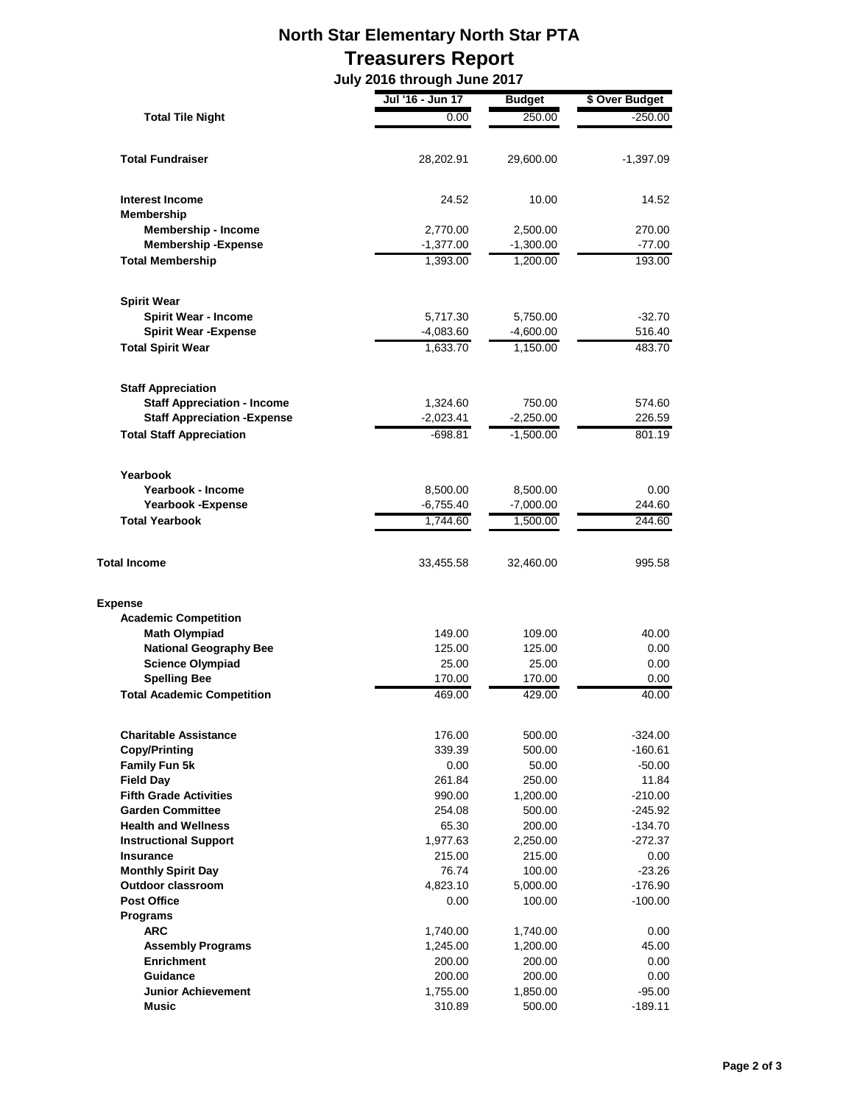## **North Star Elementary North Star PTA Treasurers Report**

 **July 2016 through June 2017**

| <b>Total Tile Night</b>             | Jul '16 - Jun 17   | <b>Budget</b>      | \$ Over Budget   |
|-------------------------------------|--------------------|--------------------|------------------|
|                                     | 0.00               | 250.00             | $-250.00$        |
|                                     |                    |                    |                  |
| <b>Total Fundraiser</b>             | 28,202.91          | 29,600.00          | -1,397.09        |
|                                     |                    |                    |                  |
| <b>Interest Income</b>              | 24.52              | 10.00              | 14.52            |
| <b>Membership</b>                   |                    |                    |                  |
| Membership - Income                 | 2,770.00           | 2,500.00           | 270.00           |
| <b>Membership-Expense</b>           | $-1,377.00$        | $-1,300.00$        | $-77.00$         |
| <b>Total Membership</b>             | 1,393.00           | 1,200.00           | 193.00           |
| <b>Spirit Wear</b>                  |                    |                    |                  |
| <b>Spirit Wear - Income</b>         | 5,717.30           | 5,750.00           | $-32.70$         |
| <b>Spirit Wear - Expense</b>        | $-4,083.60$        | $-4,600.00$        | 516.40           |
| <b>Total Spirit Wear</b>            | 1,633.70           | 1,150.00           | 483.70           |
| <b>Staff Appreciation</b>           |                    |                    |                  |
| <b>Staff Appreciation - Income</b>  | 1,324.60           | 750.00             | 574.60           |
| <b>Staff Appreciation - Expense</b> | $-2,023.41$        | $-2,250.00$        | 226.59           |
| <b>Total Staff Appreciation</b>     | -698.81            | $-1,500.00$        | 801.19           |
|                                     |                    |                    |                  |
| Yearbook                            |                    |                    |                  |
| Yearbook - Income                   | 8,500.00           | 8,500.00           | 0.00             |
| <b>Yearbook -Expense</b>            | $-6,755.40$        | $-7,000.00$        | 244.60           |
| <b>Total Yearbook</b>               | 1,744.60           | 1,500.00           | 244.60           |
| <b>Total Income</b>                 | 33,455.58          | 32,460.00          | 995.58           |
| <b>Expense</b>                      |                    |                    |                  |
| <b>Academic Competition</b>         |                    |                    |                  |
| <b>Math Olympiad</b>                | 149.00             | 109.00             | 40.00            |
| <b>National Geography Bee</b>       | 125.00             | 125.00             | 0.00             |
| <b>Science Olympiad</b>             | 25.00              | 25.00              | 0.00             |
| <b>Spelling Bee</b>                 | 170.00             | 170.00             | 0.00             |
| <b>Total Academic Competition</b>   | 469.00             | 429.00             | 40.00            |
| <b>Charitable Assistance</b>        | 176.00             | 500.00             | $-324.00$        |
| <b>Copy/Printing</b>                | 339.39             | 500.00             | $-160.61$        |
| <b>Family Fun 5k</b>                | 0.00               | 50.00              | $-50.00$         |
| <b>Field Day</b>                    | 261.84             | 250.00             | 11.84            |
| <b>Fifth Grade Activities</b>       | 990.00             | 1,200.00           | $-210.00$        |
| <b>Garden Committee</b>             | 254.08             | 500.00             | $-245.92$        |
| <b>Health and Wellness</b>          | 65.30              | 200.00             | $-134.70$        |
| <b>Instructional Support</b>        | 1,977.63           | 2,250.00           | $-272.37$        |
| <b>Insurance</b>                    | 215.00             | 215.00             | 0.00             |
| <b>Monthly Spirit Day</b>           | 76.74              | 100.00             | $-23.26$         |
| <b>Outdoor classroom</b>            | 4,823.10           | 5,000.00           | -176.90          |
| <b>Post Office</b>                  | 0.00               | 100.00             | $-100.00$        |
| Programs                            |                    |                    |                  |
| <b>ARC</b>                          | 1,740.00           | 1,740.00           | 0.00             |
| <b>Assembly Programs</b>            | 1,245.00           | 1,200.00           | 45.00            |
| <b>Enrichment</b><br>Guidance       | 200.00             | 200.00             | 0.00             |
| <b>Junior Achievement</b>           | 200.00<br>1,755.00 | 200.00<br>1,850.00 | 0.00<br>$-95.00$ |
| <b>Music</b>                        | 310.89             | 500.00             | $-189.11$        |